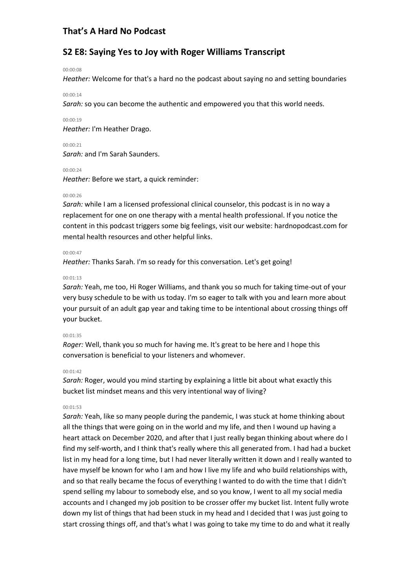## **S2 E8: Saying Yes to Joy with Roger Williams Transcript**

#### 00:00:08

*Heather:* Welcome for that's a hard no the podcast about saying no and setting boundaries

#### 00:00:14

*Sarah:* so you can become the authentic and empowered you that this world needs.

#### 00:00:19

*Heather:* I'm Heather Drago.

#### 00:00:21

*Sarah:* and I'm Sarah Saunders.

#### 00:00:24

*Heather:* Before we start, a quick reminder:

### 00:00:26

*Sarah:* while I am a licensed professional clinical counselor, this podcast is in no way a replacement for one on one therapy with a mental health professional. If you notice the content in this podcast triggers some big feelings, visit our website: hardnopodcast.com for mental health resources and other helpful links.

#### 00:00:47

*Heather:* Thanks Sarah. I'm so ready for this conversation. Let's get going!

#### 00:01:13

*Sarah:* Yeah, me too, Hi Roger Williams, and thank you so much for taking time-out of your very busy schedule to be with us today. I'm so eager to talk with you and learn more about your pursuit of an adult gap year and taking time to be intentional about crossing things off your bucket.

#### 00:01:35

*Roger:* Well, thank you so much for having me. It's great to be here and I hope this conversation is beneficial to your listeners and whomever.

#### 00:01:42

*Sarah:* Roger, would you mind starting by explaining a little bit about what exactly this bucket list mindset means and this very intentional way of living?

#### 00:01:53

*Sarah:* Yeah, like so many people during the pandemic, I was stuck at home thinking about all the things that were going on in the world and my life, and then I wound up having a heart attack on December 2020, and after that I just really began thinking about where do I find my self-worth, and I think that's really where this all generated from. I had had a bucket list in my head for a long time, but I had never literally written it down and I really wanted to have myself be known for who I am and how I live my life and who build relationships with, and so that really became the focus of everything I wanted to do with the time that I didn't spend selling my labour to somebody else, and so you know, I went to all my social media accounts and I changed my job position to be crosser offer my bucket list. Intent fully wrote down my list of things that had been stuck in my head and I decided that I was just going to start crossing things off, and that's what I was going to take my time to do and what it really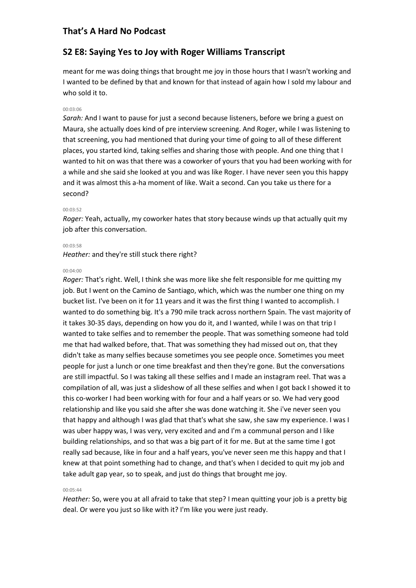## **S2 E8: Saying Yes to Joy with Roger Williams Transcript**

meant for me was doing things that brought me joy in those hours that I wasn't working and I wanted to be defined by that and known for that instead of again how I sold my labour and who sold it to.

#### 00:03:06

*Sarah:* And I want to pause for just a second because listeners, before we bring a guest on Maura, she actually does kind of pre interview screening. And Roger, while I was listening to that screening, you had mentioned that during your time of going to all of these different places, you started kind, taking selfies and sharing those with people. And one thing that I wanted to hit on was that there was a coworker of yours that you had been working with for a while and she said she looked at you and was like Roger. I have never seen you this happy and it was almost this a-ha moment of like. Wait a second. Can you take us there for a second?

#### 00:03:52

*Roger:* Yeah, actually, my coworker hates that story because winds up that actually quit my job after this conversation.

#### 00:03:58

*Heather:* and they're still stuck there right?

#### 00:04:00

*Roger:* That's right. Well, I think she was more like she felt responsible for me quitting my job. But I went on the Camino de Santiago, which, which was the number one thing on my bucket list. I've been on it for 11 years and it was the first thing I wanted to accomplish. I wanted to do something big. It's a 790 mile track across northern Spain. The vast majority of it takes 30-35 days, depending on how you do it, and I wanted, while I was on that trip I wanted to take selfies and to remember the people. That was something someone had told me that had walked before, that. That was something they had missed out on, that they didn't take as many selfies because sometimes you see people once. Sometimes you meet people for just a lunch or one time breakfast and then they're gone. But the conversations are still impactful. So I was taking all these selfies and I made an instagram reel. That was a compilation of all, was just a slideshow of all these selfies and when I got back I showed it to this co-worker I had been working with for four and a half years or so. We had very good relationship and like you said she after she was done watching it. She i've never seen you that happy and although I was glad that that's what she saw, she saw my experience. I was I was uber happy was, I was very, very excited and and I'm a communal person and I like building relationships, and so that was a big part of it for me. But at the same time I got really sad because, like in four and a half years, you've never seen me this happy and that I knew at that point something had to change, and that's when I decided to quit my job and take adult gap year, so to speak, and just do things that brought me joy.

### 00:05:44

*Heather:* So, were you at all afraid to take that step? I mean quitting your job is a pretty big deal. Or were you just so like with it? I'm like you were just ready.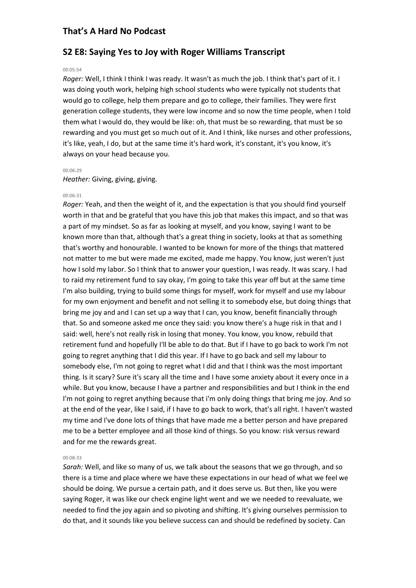### **S2 E8: Saying Yes to Joy with Roger Williams Transcript**

#### 00:05:54

*Roger:* Well, I think I think I was ready. It wasn't as much the job. I think that's part of it. I was doing youth work, helping high school students who were typically not students that would go to college, help them prepare and go to college, their families. They were first generation college students, they were low income and so now the time people, when I told them what I would do, they would be like: oh, that must be so rewarding, that must be so rewarding and you must get so much out of it. And I think, like nurses and other professions, it's like, yeah, I do, but at the same time it's hard work, it's constant, it's you know, it's always on your head because you.

#### 00:06:29

*Heather:* Giving, giving, giving.

#### 00:06:31

*Roger:* Yeah, and then the weight of it, and the expectation is that you should find yourself worth in that and be grateful that you have this job that makes this impact, and so that was a part of my mindset. So as far as looking at myself, and you know, saying I want to be known more than that, although that's a great thing in society, looks at that as something that's worthy and honourable. I wanted to be known for more of the things that mattered not matter to me but were made me excited, made me happy. You know, just weren't just how I sold my labor. So I think that to answer your question, I was ready. It was scary. I had to raid my retirement fund to say okay, I'm going to take this year off but at the same time I'm also building, trying to build some things for myself, work for myself and use my labour for my own enjoyment and benefit and not selling it to somebody else, but doing things that bring me joy and and I can set up a way that I can, you know, benefit financially through that. So and someone asked me once they said: you know there's a huge risk in that and I said: well, here's not really risk in losing that money. You know, you know, rebuild that retirement fund and hopefully I'll be able to do that. But if I have to go back to work I'm not going to regret anything that I did this year. If I have to go back and sell my labour to somebody else, I'm not going to regret what I did and that I think was the most important thing. Is it scary? Sure it's scary all the time and I have some anxiety about it every once in a while. But you know, because I have a partner and responsibilities and but I think in the end I'm not going to regret anything because that i'm only doing things that bring me joy. And so at the end of the year, like I said, if I have to go back to work, that's all right. I haven't wasted my time and I've done lots of things that have made me a better person and have prepared me to be a better employee and all those kind of things. So you know: risk versus reward and for me the rewards great.

#### 00:08:33

*Sarah:* Well, and like so many of us, we talk about the seasons that we go through, and so there is a time and place where we have these expectations in our head of what we feel we should be doing. We pursue a certain path, and it does serve us. But then, like you were saying Roger, it was like our check engine light went and we we needed to reevaluate, we needed to find the joy again and so pivoting and shifting. It's giving ourselves permission to do that, and it sounds like you believe success can and should be redefined by society. Can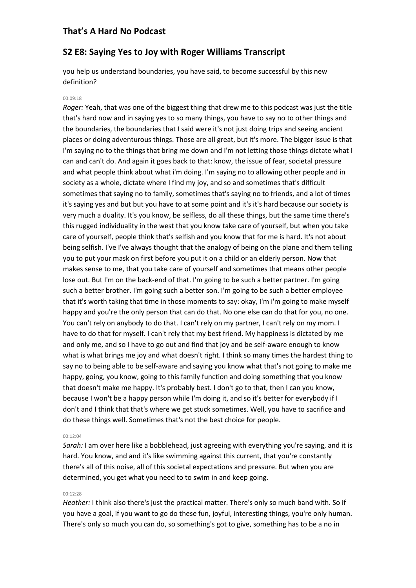### **S2 E8: Saying Yes to Joy with Roger Williams Transcript**

you help us understand boundaries, you have said, to become successful by this new definition?

#### 00:09:18

*Roger:* Yeah, that was one of the biggest thing that drew me to this podcast was just the title that's hard now and in saying yes to so many things, you have to say no to other things and the boundaries, the boundaries that I said were it's not just doing trips and seeing ancient places or doing adventurous things. Those are all great, but it's more. The bigger issue is that I'm saying no to the things that bring me down and I'm not letting those things dictate what I can and can't do. And again it goes back to that: know, the issue of fear, societal pressure and what people think about what i'm doing. I'm saying no to allowing other people and in society as a whole, dictate where I find my joy, and so and sometimes that's difficult sometimes that saying no to family, sometimes that's saying no to friends, and a lot of times it's saying yes and but but you have to at some point and it's it's hard because our society is very much a duality. It's you know, be selfless, do all these things, but the same time there's this rugged individuality in the west that you know take care of yourself, but when you take care of yourself, people think that's selfish and you know that for me is hard. It's not about being selfish. I've I've always thought that the analogy of being on the plane and them telling you to put your mask on first before you put it on a child or an elderly person. Now that makes sense to me, that you take care of yourself and sometimes that means other people lose out. But I'm on the back-end of that. I'm going to be such a better partner. I'm going such a better brother. I'm going such a better son. I'm going to be such a better employee that it's worth taking that time in those moments to say: okay, I'm i'm going to make myself happy and you're the only person that can do that. No one else can do that for you, no one. You can't rely on anybody to do that. I can't rely on my partner, I can't rely on my mom. I have to do that for myself. I can't rely that my best friend. My happiness is dictated by me and only me, and so I have to go out and find that joy and be self-aware enough to know what is what brings me joy and what doesn't right. I think so many times the hardest thing to say no to being able to be self-aware and saying you know what that's not going to make me happy, going, you know, going to this family function and doing something that you know that doesn't make me happy. It's probably best. I don't go to that, then I can you know, because I won't be a happy person while I'm doing it, and so it's better for everybody if I don't and I think that that's where we get stuck sometimes. Well, you have to sacrifice and do these things well. Sometimes that's not the best choice for people.

#### 00:12:04

*Sarah:* I am over here like a bobblehead, just agreeing with everything you're saying, and it is hard. You know, and and it's like swimming against this current, that you're constantly there's all of this noise, all of this societal expectations and pressure. But when you are determined, you get what you need to to swim in and keep going.

#### 00:12:28

*Heather:* I think also there's just the practical matter. There's only so much band with. So if you have a goal, if you want to go do these fun, joyful, interesting things, you're only human. There's only so much you can do, so something's got to give, something has to be a no in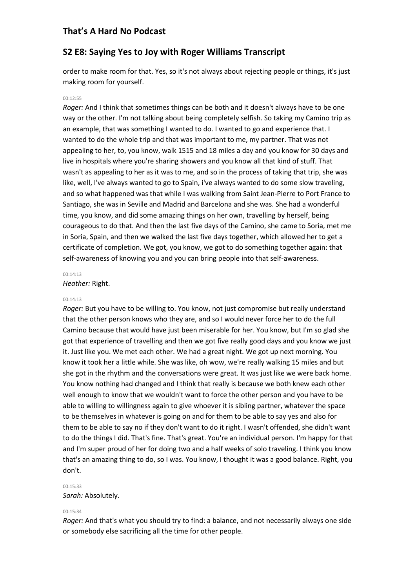### **S2 E8: Saying Yes to Joy with Roger Williams Transcript**

order to make room for that. Yes, so it's not always about rejecting people or things, it's just making room for yourself.

#### 00:12:55

*Roger:* And I think that sometimes things can be both and it doesn't always have to be one way or the other. I'm not talking about being completely selfish. So taking my Camino trip as an example, that was something I wanted to do. I wanted to go and experience that. I wanted to do the whole trip and that was important to me, my partner. That was not appealing to her, to, you know, walk 1515 and 18 miles a day and you know for 30 days and live in hospitals where you're sharing showers and you know all that kind of stuff. That wasn't as appealing to her as it was to me, and so in the process of taking that trip, she was like, well, I've always wanted to go to Spain, i've always wanted to do some slow traveling, and so what happened was that while I was walking from Saint Jean-Pierre to Port France to Santiago, she was in Seville and Madrid and Barcelona and she was. She had a wonderful time, you know, and did some amazing things on her own, travelling by herself, being courageous to do that. And then the last five days of the Camino, she came to Soria, met me in Soria, Spain, and then we walked the last five days together, which allowed her to get a certificate of completion. We got, you know, we got to do something together again: that self-awareness of knowing you and you can bring people into that self-awareness.

#### 00:14:13

*Heather:* Right.

#### 00:14:13

*Roger:* But you have to be willing to. You know, not just compromise but really understand that the other person knows who they are, and so I would never force her to do the full Camino because that would have just been miserable for her. You know, but I'm so glad she got that experience of travelling and then we got five really good days and you know we just it. Just like you. We met each other. We had a great night. We got up next morning. You know it took her a little while. She was like, oh wow, we're really walking 15 miles and but she got in the rhythm and the conversations were great. It was just like we were back home. You know nothing had changed and I think that really is because we both knew each other well enough to know that we wouldn't want to force the other person and you have to be able to willing to willingness again to give whoever it is sibling partner, whatever the space to be themselves in whatever is going on and for them to be able to say yes and also for them to be able to say no if they don't want to do it right. I wasn't offended, she didn't want to do the things I did. That's fine. That's great. You're an individual person. I'm happy for that and I'm super proud of her for doing two and a half weeks of solo traveling. I think you know that's an amazing thing to do, so I was. You know, I thought it was a good balance. Right, you don't.

#### 00:15:33 *Sarah:* Absolutely.

#### 00:15:34

*Roger:* And that's what you should try to find: a balance, and not necessarily always one side or somebody else sacrificing all the time for other people.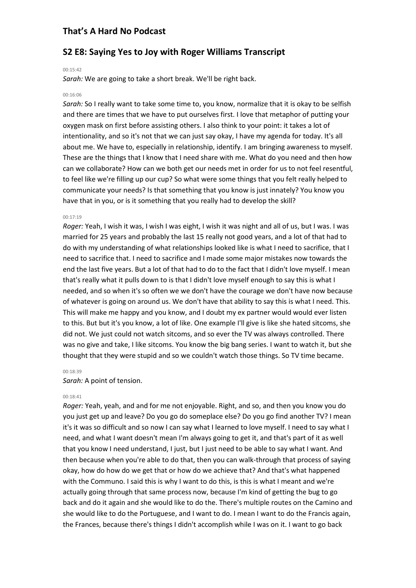## **S2 E8: Saying Yes to Joy with Roger Williams Transcript**

#### 00:15:42

*Sarah:* We are going to take a short break. We'll be right back.

#### 00:16:06

*Sarah:* So I really want to take some time to, you know, normalize that it is okay to be selfish and there are times that we have to put ourselves first. I love that metaphor of putting your oxygen mask on first before assisting others. I also think to your point: it takes a lot of intentionality, and so it's not that we can just say okay, I have my agenda for today. It's all about me. We have to, especially in relationship, identify. I am bringing awareness to myself. These are the things that I know that I need share with me. What do you need and then how can we collaborate? How can we both get our needs met in order for us to not feel resentful, to feel like we're filling up our cup? So what were some things that you felt really helped to communicate your needs? Is that something that you know is just innately? You know you have that in you, or is it something that you really had to develop the skill?

#### 00:17:19

*Roger:* Yeah, I wish it was, I wish I was eight, I wish it was night and all of us, but I was. I was married for 25 years and probably the last 15 really not good years, and a lot of that had to do with my understanding of what relationships looked like is what I need to sacrifice, that I need to sacrifice that. I need to sacrifice and I made some major mistakes now towards the end the last five years. But a lot of that had to do to the fact that I didn't love myself. I mean that's really what it pulls down to is that I didn't love myself enough to say this is what I needed, and so when it's so often we we don't have the courage we don't have now because of whatever is going on around us. We don't have that ability to say this is what I need. This. This will make me happy and you know, and I doubt my ex partner would would ever listen to this. But but it's you know, a lot of like. One example I'll give is like she hated sitcoms, she did not. We just could not watch sitcoms, and so ever the TV was always controlled. There was no give and take, I like sitcoms. You know the big bang series. I want to watch it, but she thought that they were stupid and so we couldn't watch those things. So TV time became.

#### 00:18:39

#### *Sarah:* A point of tension.

#### 00:18:41

*Roger:* Yeah, yeah, and and for me not enjoyable. Right, and so, and then you know you do you just get up and leave? Do you go do someplace else? Do you go find another TV? I mean it's it was so difficult and so now I can say what I learned to love myself. I need to say what I need, and what I want doesn't mean I'm always going to get it, and that's part of it as well that you know I need understand, I just, but I just need to be able to say what I want. And then because when you're able to do that, then you can walk-through that process of saying okay, how do how do we get that or how do we achieve that? And that's what happened with the Communo. I said this is why I want to do this, is this is what I meant and we're actually going through that same process now, because I'm kind of getting the bug to go back and do it again and she would like to do the. There's multiple routes on the Camino and she would like to do the Portuguese, and I want to do. I mean I want to do the Francis again, the Frances, because there's things I didn't accomplish while I was on it. I want to go back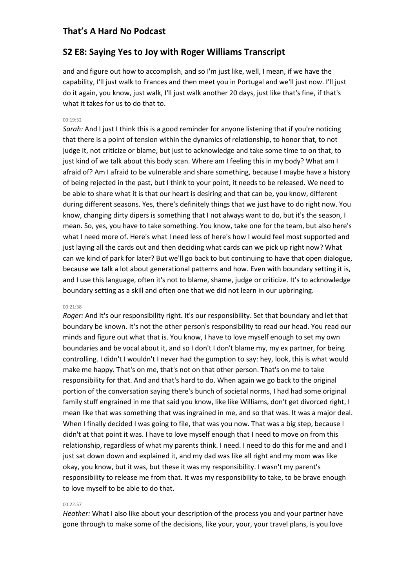### **S2 E8: Saying Yes to Joy with Roger Williams Transcript**

and and figure out how to accomplish, and so I'm just like, well, I mean, if we have the capability, I'll just walk to Frances and then meet you in Portugal and we'll just now. I'll just do it again, you know, just walk, I'll just walk another 20 days, just like that's fine, if that's what it takes for us to do that to.

#### 00:19:52

*Sarah:* And I just I think this is a good reminder for anyone listening that if you're noticing that there is a point of tension within the dynamics of relationship, to honor that, to not judge it, not criticize or blame, but just to acknowledge and take some time to on that, to just kind of we talk about this body scan. Where am I feeling this in my body? What am I afraid of? Am I afraid to be vulnerable and share something, because I maybe have a history of being rejected in the past, but I think to your point, it needs to be released. We need to be able to share what it is that our heart is desiring and that can be, you know, different during different seasons. Yes, there's definitely things that we just have to do right now. You know, changing dirty dipers is something that I not always want to do, but it's the season, I mean. So, yes, you have to take something. You know, take one for the team, but also here's what I need more of. Here's what I need less of here's how I would feel most supported and just laying all the cards out and then deciding what cards can we pick up right now? What can we kind of park for later? But we'll go back to but continuing to have that open dialogue, because we talk a lot about generational patterns and how. Even with boundary setting it is, and I use this language, often it's not to blame, shame, judge or criticize. It's to acknowledge boundary setting as a skill and often one that we did not learn in our upbringing.

### 00:21:38

*Roger:* And it's our responsibility right. It's our responsibility. Set that boundary and let that boundary be known. It's not the other person's responsibility to read our head. You read our minds and figure out what that is. You know, I have to love myself enough to set my own boundaries and be vocal about it, and so I don't I don't blame my, my ex partner, for being controlling. I didn't I wouldn't I never had the gumption to say: hey, look, this is what would make me happy. That's on me, that's not on that other person. That's on me to take responsibility for that. And and that's hard to do. When again we go back to the original portion of the conversation saying there's bunch of societal norms, I had had some original family stuff engrained in me that said you know, like like Williams, don't get divorced right, I mean like that was something that was ingrained in me, and so that was. It was a major deal. When I finally decided I was going to file, that was you now. That was a big step, because I didn't at that point it was. I have to love myself enough that I need to move on from this relationship, regardless of what my parents think. I need. I need to do this for me and and I just sat down down and explained it, and my dad was like all right and my mom was like okay, you know, but it was, but these it was my responsibility. I wasn't my parent's responsibility to release me from that. It was my responsibility to take, to be brave enough to love myself to be able to do that.

#### 00:22:57

*Heather:* What I also like about your description of the process you and your partner have gone through to make some of the decisions, like your, your, your travel plans, is you love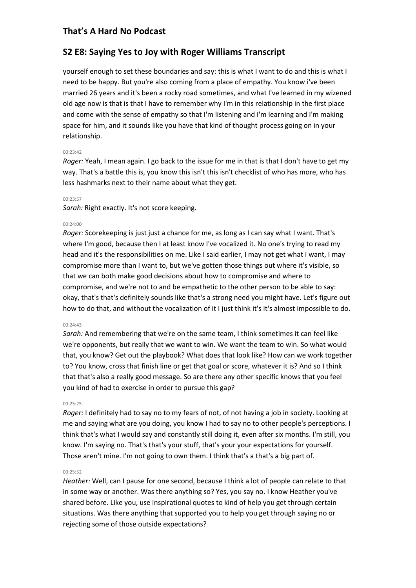## **S2 E8: Saying Yes to Joy with Roger Williams Transcript**

yourself enough to set these boundaries and say: this is what I want to do and this is what I need to be happy. But you're also coming from a place of empathy. You know i've been married 26 years and it's been a rocky road sometimes, and what I've learned in my wizened old age now is that is that I have to remember why I'm in this relationship in the first place and come with the sense of empathy so that I'm listening and I'm learning and I'm making space for him, and it sounds like you have that kind of thought process going on in your relationship.

#### 00:23:42

*Roger:* Yeah, I mean again. I go back to the issue for me in that is that I don't have to get my way. That's a battle this is, you know this isn't this isn't checklist of who has more, who has less hashmarks next to their name about what they get.

#### 00:23:57

*Sarah:* Right exactly. It's not score keeping.

#### 00:24:00

*Roger:* Scorekeeping is just just a chance for me, as long as I can say what I want. That's where I'm good, because then I at least know I've vocalized it. No one's trying to read my head and it's the responsibilities on me. Like I said earlier, I may not get what I want, I may compromise more than I want to, but we've gotten those things out where it's visible, so that we can both make good decisions about how to compromise and where to compromise, and we're not to and be empathetic to the other person to be able to say: okay, that's that's definitely sounds like that's a strong need you might have. Let's figure out how to do that, and without the vocalization of it I just think it's it's almost impossible to do.

#### 00:24:43

*Sarah:* And remembering that we're on the same team, I think sometimes it can feel like we're opponents, but really that we want to win. We want the team to win. So what would that, you know? Get out the playbook? What does that look like? How can we work together to? You know, cross that finish line or get that goal or score, whatever it is? And so I think that that's also a really good message. So are there any other specific knows that you feel you kind of had to exercise in order to pursue this gap?

### 00:25:25

*Roger:* I definitely had to say no to my fears of not, of not having a job in society. Looking at me and saying what are you doing, you know I had to say no to other people's perceptions. I think that's what I would say and constantly still doing it, even after six months. I'm still, you know. I'm saying no. That's that's your stuff, that's your your expectations for yourself. Those aren't mine. I'm not going to own them. I think that's a that's a big part of.

### $00.25.52$

*Heather:* Well, can I pause for one second, because I think a lot of people can relate to that in some way or another. Was there anything so? Yes, you say no. I know Heather you've shared before. Like you, use inspirational quotes to kind of help you get through certain situations. Was there anything that supported you to help you get through saying no or rejecting some of those outside expectations?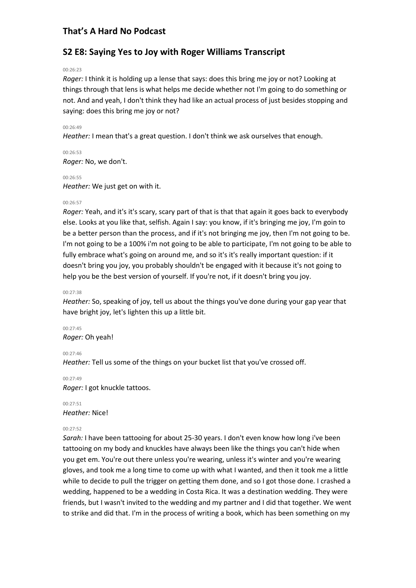## **S2 E8: Saying Yes to Joy with Roger Williams Transcript**

#### 00:26:23

*Roger:* I think it is holding up a lense that says: does this bring me joy or not? Looking at things through that lens is what helps me decide whether not I'm going to do something or not. And and yeah, I don't think they had like an actual process of just besides stopping and saying: does this bring me joy or not?

#### 00:26:49

*Heather:* I mean that's a great question. I don't think we ask ourselves that enough.

00:26:53 *Roger:* No, we don't.

#### 00:26:55

*Heather:* We just get on with it.

### 00:26:57

*Roger:* Yeah, and it's it's scary, scary part of that is that that again it goes back to everybody else. Looks at you like that, selfish. Again I say: you know, if it's bringing me joy, I'm goin to be a better person than the process, and if it's not bringing me joy, then I'm not going to be. I'm not going to be a 100% i'm not going to be able to participate, I'm not going to be able to fully embrace what's going on around me, and so it's it's really important question: if it doesn't bring you joy, you probably shouldn't be engaged with it because it's not going to help you be the best version of yourself. If you're not, if it doesn't bring you joy.

#### 00:27:38

*Heather:* So, speaking of joy, tell us about the things you've done during your gap year that have bright joy, let's lighten this up a little bit.

00:27:45

*Roger:* Oh yeah!

#### 00:27:46

*Heather:* Tell us some of the things on your bucket list that you've crossed off.

00:27:49

*Roger:* I got knuckle tattoos.

00:27:51 *Heather:* Nice!

### 00:27:52

*Sarah:* I have been tattooing for about 25-30 years. I don't even know how long i've been tattooing on my body and knuckles have always been like the things you can't hide when you get em. You're out there unless you're wearing, unless it's winter and you're wearing gloves, and took me a long time to come up with what I wanted, and then it took me a little while to decide to pull the trigger on getting them done, and so I got those done. I crashed a wedding, happened to be a wedding in Costa Rica. It was a destination wedding. They were friends, but I wasn't invited to the wedding and my partner and I did that together. We went to strike and did that. I'm in the process of writing a book, which has been something on my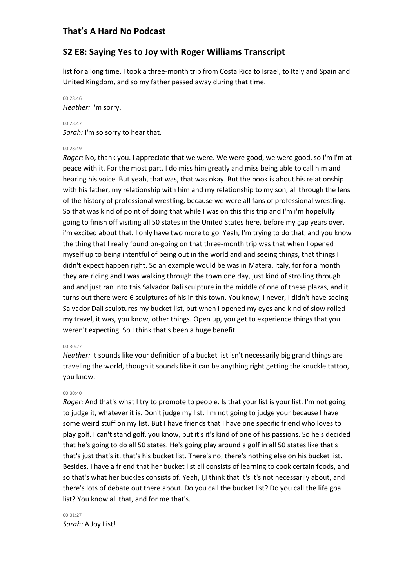## **S2 E8: Saying Yes to Joy with Roger Williams Transcript**

list for a long time. I took a three-month trip from Costa Rica to Israel, to Italy and Spain and United Kingdom, and so my father passed away during that time.

## 00:28:46 *Heather:* I'm sorry.

### 00:28:47 *Sarah:* I'm so sorry to hear that.

### 00:28:49

*Roger:* No, thank you. I appreciate that we were. We were good, we were good, so I'm i'm at peace with it. For the most part, I do miss him greatly and miss being able to call him and hearing his voice. But yeah, that was, that was okay. But the book is about his relationship with his father, my relationship with him and my relationship to my son, all through the lens of the history of professional wrestling, because we were all fans of professional wrestling. So that was kind of point of doing that while I was on this this trip and I'm i'm hopefully going to finish off visiting all 50 states in the United States here, before my gap years over, i'm excited about that. I only have two more to go. Yeah, I'm trying to do that, and you know the thing that I really found on-going on that three-month trip was that when I opened myself up to being intentful of being out in the world and and seeing things, that things I didn't expect happen right. So an example would be was in Matera, Italy, for for a month they are riding and I was walking through the town one day, just kind of strolling through and and just ran into this Salvador Dali sculpture in the middle of one of these plazas, and it turns out there were 6 sculptures of his in this town. You know, I never, I didn't have seeing Salvador Dali sculptures my bucket list, but when I opened my eyes and kind of slow rolled my travel, it was, you know, other things. Open up, you get to experience things that you weren't expecting. So I think that's been a huge benefit.

### 00:30:27

*Heather:* It sounds like your definition of a bucket list isn't necessarily big grand things are traveling the world, though it sounds like it can be anything right getting the knuckle tattoo, you know.

### 00:30:40

*Roger:* And that's what I try to promote to people. Is that your list is your list. I'm not going to judge it, whatever it is. Don't judge my list. I'm not going to judge your because I have some weird stuff on my list. But I have friends that I have one specific friend who loves to play golf. I can't stand golf, you know, but it's it's kind of one of his passions. So he's decided that he's going to do all 50 states. He's going play around a golf in all 50 states like that's that's just that's it, that's his bucket list. There's no, there's nothing else on his bucket list. Besides. I have a friend that her bucket list all consists of learning to cook certain foods, and so that's what her buckles consists of. Yeah, I,I think that it's it's not necessarily about, and there's lots of debate out there about. Do you call the bucket list? Do you call the life goal list? You know all that, and for me that's.

00:31:27 *Sarah:* A Joy List!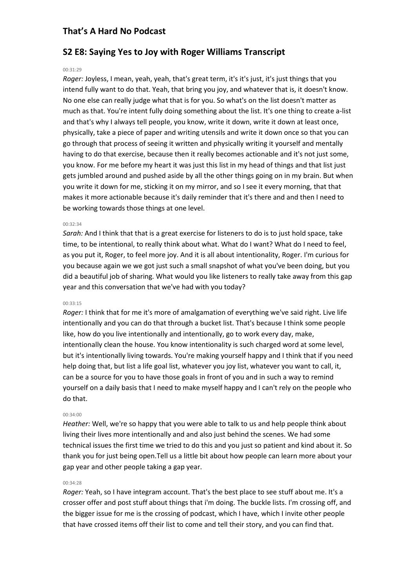## **S2 E8: Saying Yes to Joy with Roger Williams Transcript**

#### 00:31:29

*Roger:* Joyless, I mean, yeah, yeah, that's great term, it's it's just, it's just things that you intend fully want to do that. Yeah, that bring you joy, and whatever that is, it doesn't know. No one else can really judge what that is for you. So what's on the list doesn't matter as much as that. You're intent fully doing something about the list. It's one thing to create a-list and that's why I always tell people, you know, write it down, write it down at least once, physically, take a piece of paper and writing utensils and write it down once so that you can go through that process of seeing it written and physically writing it yourself and mentally having to do that exercise, because then it really becomes actionable and it's not just some, you know. For me before my heart it was just this list in my head of things and that list just gets jumbled around and pushed aside by all the other things going on in my brain. But when you write it down for me, sticking it on my mirror, and so I see it every morning, that that makes it more actionable because it's daily reminder that it's there and and then I need to be working towards those things at one level.

#### 00:32:34

*Sarah:* And I think that that is a great exercise for listeners to do is to just hold space, take time, to be intentional, to really think about what. What do I want? What do I need to feel, as you put it, Roger, to feel more joy. And it is all about intentionality, Roger. I'm curious for you because again we we got just such a small snapshot of what you've been doing, but you did a beautiful job of sharing. What would you like listeners to really take away from this gap year and this conversation that we've had with you today?

#### 00:33:15

*Roger:* I think that for me it's more of amalgamation of everything we've said right. Live life intentionally and you can do that through a bucket list. That's because I think some people like, how do you live intentionally and intentionally, go to work every day, make, intentionally clean the house. You know intentionality is such charged word at some level, but it's intentionally living towards. You're making yourself happy and I think that if you need help doing that, but list a life goal list, whatever you joy list, whatever you want to call, it, can be a source for you to have those goals in front of you and in such a way to remind yourself on a daily basis that I need to make myself happy and I can't rely on the people who do that.

#### 00:34:00

*Heather:* Well, we're so happy that you were able to talk to us and help people think about living their lives more intentionally and and also just behind the scenes. We had some technical issues the first time we tried to do this and you just so patient and kind about it. So thank you for just being open.Tell us a little bit about how people can learn more about your gap year and other people taking a gap year.

#### 00:34:28

*Roger:* Yeah, so I have integram account. That's the best place to see stuff about me. It's a crosser offer and post stuff about things that i'm doing. The buckle lists. I'm crossing off, and the bigger issue for me is the crossing of podcast, which I have, which I invite other people that have crossed items off their list to come and tell their story, and you can find that.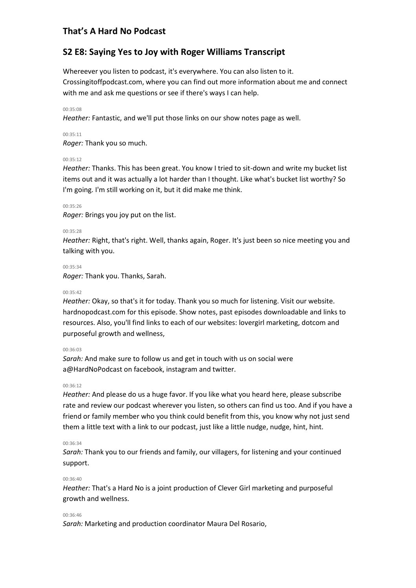## **S2 E8: Saying Yes to Joy with Roger Williams Transcript**

Whereever you listen to podcast, it's everywhere. You can also listen to it. Crossingitoffpodcast.com, where you can find out more information about me and connect with me and ask me questions or see if there's ways I can help.

#### 00:35:08

*Heather:* Fantastic, and we'll put those links on our show notes page as well.

### 00:35:11

*Roger:* Thank you so much.

### 00:35:12

*Heather:* Thanks. This has been great. You know I tried to sit-down and write my bucket list items out and it was actually a lot harder than I thought. Like what's bucket list worthy? So I'm going. I'm still working on it, but it did make me think.

#### 00:35:26

*Roger:* Brings you joy put on the list.

#### 00:35:28

*Heather:* Right, that's right. Well, thanks again, Roger. It's just been so nice meeting you and talking with you.

#### 00:35:34

*Roger:* Thank you. Thanks, Sarah.

#### 00:35:42

*Heather:* Okay, so that's it for today. Thank you so much for listening. Visit our website. hardnopodcast.com for this episode. Show notes, past episodes downloadable and links to resources. Also, you'll find links to each of our websites: lovergirl marketing, dotcom and purposeful growth and wellness,

#### 00:36:03

*Sarah:* And make sure to follow us and get in touch with us on social were a@HardNoPodcast on facebook, instagram and twitter.

#### 00:36:12

*Heather:* And please do us a huge favor. If you like what you heard here, please subscribe rate and review our podcast wherever you listen, so others can find us too. And if you have a friend or family member who you think could benefit from this, you know why not just send them a little text with a link to our podcast, just like a little nudge, nudge, hint, hint.

### 00:36:34

*Sarah:* Thank you to our friends and family, our villagers, for listening and your continued support.

### 00:36:40

*Heather:* That's a Hard No is a joint production of Clever Girl marketing and purposeful growth and wellness.

### 00:36:46

*Sarah:* Marketing and production coordinator Maura Del Rosario,